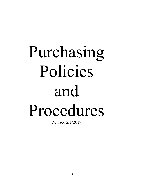# Purchasing Policies and Procedures

Revised 2/1/2019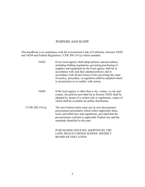# PURPOSE AND SCOPE

This handbook is in compliance with the Government Code of California, Sections 54202 and 54204 and Federal Regulation 2 CFR 200.318 (a) which mandate:

| 54202             | Every local agency shall adopt policies and procedures,<br>including bidding regulations, governing purchasing of<br>supplies and equipment by the local agency shall be in<br>accordance with said duly adopted policies and in<br>accordance with all provisions of law governing the same.<br>No policy, procedure, or regulation shall be adopted which<br>is inconsistent or in conflict with statute. |
|-------------------|-------------------------------------------------------------------------------------------------------------------------------------------------------------------------------------------------------------------------------------------------------------------------------------------------------------------------------------------------------------------------------------------------------------|
| 54204             | If the local agency is other than a city, county, or city and<br>county, the policies provided for in Section 54202 shall be<br>adopted by means of a written rule or regulations, copies of<br>which shall be available for public distribution.                                                                                                                                                           |
| 2 CFR 200.318 (a) | The non-Federal entity must use its own documented<br>procurement procedures which reflect applicable State,<br>local, and tribal laws and regulations, provided that the<br>procurements conform to applicable Federal law and the<br>standards identified in this part.                                                                                                                                   |
|                   | PURCHASING POLICIES ADOPTED BY THE<br>LONG BEACH UNIFIED SCHOOL DISTRICT<br><b>BOARD OF EDUCATION</b>                                                                                                                                                                                                                                                                                                       |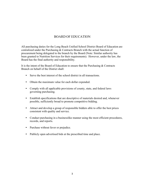# BOARD OF EDUCATION

All purchasing duties for the Long Beach Unified School District Board of Education are centralized under the Purchasing & Contracts Branch with the actual function of procurement being delegated to the branch by the Board (Note: Similar authority has been granted to Nutrition Services for their requirements). However, under the law, the Board has the final authority and responsibility.

It is the intent of the Board of Education to ensure that the Purchasing & Contracts Branch on behalf of the District shall:

- Serve the best interest of the school district in all transactions.
- Obtain the maximum value for each dollar expended.
- Comply with all applicable provisions of county, state, and federal laws governing purchasing.
- Establish specifications that are descriptive of materials desired and, whenever possible, sufficiently broad to promote competitive bidding.
- Attract and develop a group of responsible bidders able to offer the best prices consistent with quality and service.
- Conduct purchasing in a businesslike manner using the most efficient procedures, records, and reports.
- Purchase without favor or prejudice.
- Publicly open advertised bids at the prescribed time and place.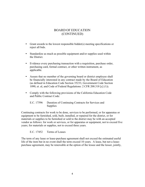# BOARD OF EDUCATION (CONTINUED)

- Grant awards to the lowest responsible bidder(s) meeting specifications or reject all bids.
- Standardize as much as possible equipment and/or supplies used within the District.
- Evidence every purchasing transaction with a requisition, purchase order, purchasing card, formal contract, or other written instrument, as applicable.
- Assure that no member of the governing board or district employee shall be financially interested in any contract made by the Board of Education (as defined in Education Code Section 35233, Government Code Section 1090, et. al, and Code of Federal Regulations: 2 CFR 200.318 [c] (1)).
- Comply with the following provisions of the California Education Code and Public Contract Code:

E.C. 17596 Duration of Continuing Contracts for Services and Supplies

Continuing contracts for work to be done, services to be performed, or for apparatus or equipment to be furnished, sold, built, installed, or repaired for the district, or for materials or supplies to be furnished or sold to the district may be with an accepted vendor as follows: for work or services, or for apparatus or equipment, not to exceed five years; for materials or supplies, not to exceed three years.

E.C. 17452 Terms of Leases

The term of any lease or lease-purchase agreement shall not exceed the estimated useful life of the item but in no event shall the term exceed 10 years. A lease, but not a leasepurchase agreement, may be renewable at the option of the lessee and the lessor, jointly,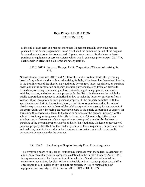# BOARD OF EDUCATION (CONTINUED)

at the end of each term at a rate not more than 12 percent annually above the rate set pursuant to the existing agreement. In no event shall the combined period of the original lease and renewals or extensions exceed 10 years. Any contract for the lease or leasepurchase or equipment or service systems which was in existence prior to April 22, 1975, shall remain in effect and such terms are hereby ratified.

# P.C.C. 20118 Purchase Through Public Corporations Without Advertising for Bids

Notwithstanding Sections 20111 and 20112 of the Public Contract Code, the governing board of any school district without advertising for bids, if the board has determined it to be in the best interests of the district, may authorize by contract, lease, requisition, or purchase order, any public corporation or agency, including any county, city, town, or district to lease data-processing equipment, purchase materials, supplies, equipment, automotive vehicles, tractors, and other personal property for the district in the manner in which the public corporation or agency is authorized by law to make the leases or purchases from a vendor. Upon receipt of any such personal property, if the property complies with the specifications set forth in the contract, lease, requisitions, or purchase order, the school district may draw a warrant in favor of the public corporation or agency for the amount of the approved invoice, including the reasonable costs to the public corporation or agency for furnishing the services incidental to the lease or purchase of the personal property, or the school district may make payment directly to the vendor. Alternatively, if there is an existing contract between a public corporation or agency and a vendor for the lease or purchase of the personal property, a school district may authorize the lease or purchase of personal property directly from the vendor by contract, lease, requisition, or purchase order and make payment to the vendor under the same terms that are available to the public corporation or agency under the contract.

#### E.C. 17602 Purchasing of Surplus Property From Federal Agencies

The governing board of any school district may purchase from the federal government or any agency thereof any surplus property, as defined in the Surplus Property Act of 1944, in any amount needed for the operation of the schools of the district without taking estimates or advertising for bids. When it is feasible and will reduce project cost, staff is encouraged to use Federal excess and surplus property in lieu of purchasing new equipment and property. (2 CFR, Section 200.318(f)) (EDC 17602)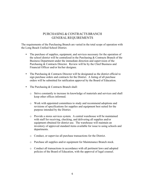# PURCHASING & CONTRACTS BRANCH GENERALREQUIREMENTS

The requirements of the Purchasing Branch are varied in the total scope of operation with the Long Beach Unified School District.

- The purchase of supplies, equipment, and services necessary for the operation of the school district will be centralized in the Purchasing & Contracts Branch of the Business Department under the immediate direction and supervision of the Purchasing & Contracts Director. Review will be by the Chief Business and Financial Officer and/or his/her designee.
- The Purchasing & Contracts Director will be designated as the district official to sign purchase orders and contracts for the District. A listing of all purchase orders will be submitted for ratification approval by the Board of Education.
- The Purchasing & Contracts Branch shall:
	- o Strive constantly to increase its knowledge of materials and services and shall keep other offices informed.
	- o Work with appointed committees to study and recommend adoptions and revisions of specifications for supplies and equipment best suited for the purpose intended by the District.
	- o Provide a stores services system. A central warehouse will be maintained with staff for receiving, checking, and delivering all supplies and/or equipment obtained for district use. The warehouse will maintain an inventory of approved standard items available for issue to using schools and departments.
	- o Conduct, or supervise all purchase transactions for the District.
	- o Purchase all supplies and/or equipment for Maintenance Branch stock.
	- o Conduct all transactions in accordance with all pertinent laws and adopted policies of the Board of Education, with the approval of legal counsel.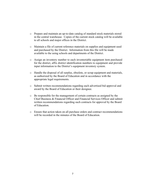- o Prepare and maintain an up-to-date catalog of standard stock materials stored in the central warehouse. Copies of the current stock catalog will be available to all schools and major offices in the District.
- o Maintain a file of current reference materials on supplies and equipment used and purchased by the District. Information from this file will be made available to the using schools and departments of the District.
- o Assign an inventory number to each inventoriable equipment item purchased for the district, affix district identification numbers to equipment and provide input information to the District's equipment inventory system.
- o Handle the disposal of all surplus, obsolete, or scrap equipment and materials, as authorized by the Board of Education and in accordance with the appropriate legal requirements.
- o Submit written recommendations regarding each advertised bid approval and award by the Board of Education or their designee.
- o Be responsible for the management of certain contracts as assigned by the Chief Business & Financial Officer and Financial Services Officer and submit written recommendations regarding such contracts for approval by the Board of Education.
- o Ensure that action taken on all purchase orders and contract recommendations will be recorded in the minutes of the Board of Education.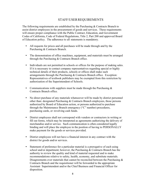# STAFF/USERREQUIREMENTS

The following requirements are established by the Purchasing  $&$  Contracts Branch to assist district employees in the procurement of goods and services. These requirements will ensure proper compliance with the Public Contract, Education, and Government Codes of California, Code of Federal Regulations, Title 2, Part 200 and approved Board of Education policy. The adherence to all statements is mandatory.

- All requests for prices and all purchases will be made through and by the Purchasing & Contracts Branch.
- The demonstration of office machines, equipment, and materials must be arranged through the Purchasing & Contracts Branch office.
- Individuals are not permitted in schools or offices for the purpose of making sales. If it is necessary to contact company representatives regarding special or highly technical details of their products, schools or offices shall make such arrangements through the Purchasing & Contracts Branch office. Exception: Representatives of textbook publishers may be exempted from this restriction by authorization of the Superintendent of Schools.
- Communications with suppliers must be made through the Purchasing  $&$ Contracts Branch office.
- No direct purchase of any materials whatsoever will be made by district personnel other than: designated Purchasing & Contracts Branch employees, those persons authorized by Board of Education action, or persons authorized to purchase through the Maintenance Branch emergency ("C" number) procedures, purchasing cards, or revolving cash funds.
- District employees shall not correspond with vendors or contractors in writing or fill out forms, which may be interpreted as agreements authorizing the delivery of merchandise and/or service. Such communication is often considered legally binding and will place the employee in the position of having to PERSONALLY make payment for the goods or services provided.
- District employees will not have a financial interest in any contract with the district for goods and/or services.
- Statement of preference for a particular material is a prerogative of each using school and/or department; however, the Purchasing & Contracts Branch has the authority to review the quality and kind of material requested and to make recommendations relative to safety, health, economy, and substitute materials. Disagreements over materials that cannot be reconciled between the Purchasing & Contracts Branch and the requisitioner will be forwarded to the appropriate Assistant Superintendent and/or the Chief Business and Financial Officer for disposition.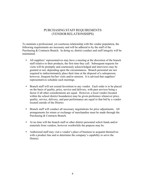# PURCHASING STAFF REQUIREMENTS (VENDORRELATIONSHIPS)

To maintain a professional, yet courteous relationship with the vendor population, the following requirements are necessary and will be adhered to by the staff of the Purchasing & Contracts Branch. In doing so, district conduct and staff integrity will be maintained.

- All suppliers' representatives may have a meeting at the discretion of the branch staff relative to their products, the first time they call. Subsequent requests for visits will be promptly and courteously acknowledged and interviews may be granted or not, depending upon the circumstances. Branch personnel are not required to indiscriminately place their time at the disposal of a salesperson; however, frequent his/her visits and/or mission. It is advised that suppliers' representatives schedule such meetings.
- Branch staff will not extend favoritism to any vendor. Each order is to be placed on the basis of quality, price, service and delivery, with past services being a factor if all other considerations are equal. However, a local vendor (located within the school district boundaries) may be given preference whenever price, quality, service, delivery, and past performance are equal to that bid by a vendor located outside of the District.
- Branch staff will conduct all necessary negotiations for price adjustments. All arrangements for return or exchange of merchandise must be made through the Purchasing & Contracts Branch.
- At no time will the branch staff or other district personnel solicit funds and/or materials from vendors, however worthwhile the purpose may be.
- Authorized staff may visit a vendor's place of business to acquaint themselves with a product line and to determine the company's capability to serve the District.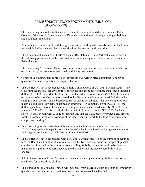# PRICE SOLICITATION REQUIREMENTS (BIDS AND QUOTATIONS)

The Purchasing & Contracts Branch will adhere to the established district policies, Public Contract, Educational, Government and Federal codes and regulations pertaining to bidding and quotation solicitation.

- Purchasing will be accomplished through competitive bidding with awards made to the lowest responsible bidder meeting district specifications, instruction, and conditions.
- The procurement standards of Code of Federal Regulations, Title 2 Part 200, as referenced in the following procedures shall be adhered to when procuring materials and services under a Federal award.
- The Purchasing & Contracts Branch will seek bids and quotations from those sources able to offer the best price, consistent with quality, delivery, and service.
- Competitive bidding shall be practiced (advertised bid, written price quotations, oral price quotations) whenever practical or required by law.
- The District will act in accordance with Public Contract Code (PCC) 20111 which reads: "The Governing Board shall let any contracts involving an expenditure of more than fifteen thousand dollars (\$15,000) for work to be done or more than fifty thousand dollars (\$50,000) for materials or supplies to be furnished, sold or leased to the district to the lowest responsible bidder who shall give such security as the board requires, or else reject all bids. This section applies to all materials and supplies whether patented or otherwise." In compliance with PCC 20111, the dollar expenditure amount for materials or supplies may be increased annually. (For 2019, the amount is \$92,600). In this regard, the district will follow provisions of PCC 20116 which states, "It shall be unlawful to split or separate into smaller work orders or projects any project for the purpose of evading provisions of the Code requiring work to be done by contract after competitive bidding."
- Our District is governed under the California Uniform Public Construction Cost Accounting Act (CUPCCAA), applicable to public works. Further definition is contained in various government codes including, but not limited to, Public Contract Code 22000-22045.
- The District will act in accordance with PCC 20112 which reads: "For the purpose of securing bids the Board shall publish at least once a week for two weeks in some newspaper of general circulation, circulated in the county, a notice calling for bids, stating the work to be done or materials or supplies to be furnished and the time when and the place where bids will be opened."
- All bid instructions and specifications will be clear and complete, setting forth all necessary conditions for competitive bidding.
- The Purchasing & Contacts Branch will purchase from sources within the district whenever quality, price and service are equal to or lower than sources outside the district.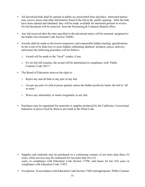- All advertised bids shall be opened in public at a prescribed time and place. Interested parties may receive prices and other information listed in the bid at the public opening. After the bids have been opened and tabulated, they will be made available for interested persons to review. No bid document will be removed from the Purchasing  $&$  Contracts Branch office.
- Any bid received after the time specified in the advertised notice will be returned unopened to the bidder (Government Code Section 53068).
- Awards shall be made to the lowest responsive and responsible bidder meeting specifications. In the event of tie bids (two or more bidders submitting identical products, prices, delivery, and terms) the following procedure will be follows:
	- o Award will be made to the "local" vendor, if any.
	- o If a tie bid still remains, the award will be determined in compliance with Public Contract Code 20117.
- The Board of Education reserves the right to:
	- o Reject any and all bids or any part of any bid.
	- o Accept any part of a bid at prices quoted, unless the bidder positively limits the bid to "all or none."
	- o Waive any informality or minor irregularity in any bid.
- Purchases may be negotiated for materials or supplies produced by the California Correctional Industries at prices fixed by them as provided in the Penal Code.

- Supplies and materials may be purchased on a continuing contract of not more than three (3) years, while services may be contracted for not more than five (5) years, in compliance with Education Code Section 17596, and leases for ten (10) years in compliance with Education Code 17452.
- Exceptions: In accordance with Education Code Section 17602 and appropriate Public Contract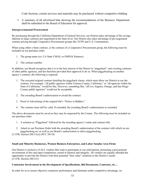Code Sections, certain services and materials may be purchased without competitive bidding.

• A summary of all advertised bids showing the recommendations of the Business Department shall be submitted to the Board of Education for approval.

# **Intergovernmental Procurement**

By purchasing through the California Department of General Services, our District takes advantage of the savings inherent in large contracts pre-negotiated at the State level. Our District also takes advantage of pre-negotiated contract pricing through Cooperative Procurement groups like TCPN and U.S. Communities.

When using either a State contract, or the contract of a Cooperative Procurement group, the following must be included on our purchase order:

- 1. The group name (ex: CA State CMAS, or OMNIA Partners).
- 2. The contract number.

In addition, our Board recognizes that it is in the best interest of the District to "piggyback" onto existing contracts of other public agencies, and has therefore provided their approval to do so. When piggybacking on another agency's contract, the following is required:

- 1. The executed original contract detailing the piggyback clause, which must allow our District to use the contract. For example, "all public agencies within Ventura County, California," or "all agencies within the State of California," would be fine. However, something like, "all Los Angeles, Orange, and San Diego County public agencies" would not be acceptable.
- 2. The awarding Board's authorization to award the contract.
- 3. Proof of Advertising of the original bid's "Notice to Bidders."
- 4. The contract must still be valid. If extended, the awarding Board's authorization to extended.

The above documents must be saved as they may be requested by the County. The following must be included on our purchase order:

- 1. A notation as "Piggyback" followed by the awarding agency's name and contract title.
- 2. Attach to our Purchase Order both the awarding Board's authorization of the contract with which we are piggybacking on, as well as our Board's authorization to allow piggybacking.

(2 CFR, Section 200.31(e)) (PCC 20118)

## **Small and Minority Businesses, Women Business Enterprises, and Labor Surplus Area Firms**

Our District is inclusive of ALL vendors that want to participate in our solicitations, promoting a procurement environment of free and open competition, rooted in fairness and integrity. All vendors are equally afforded the opportunity to provide the District with their potential "best value" solutions to the District's needs. (2 CFR, Section 200.321)

## **Contractor Involvement in the Development of Specifications, Bid Documents, Contracts, etc…**

In order for us to ensure objective contractor performance and eliminate unfair competitive advantage, no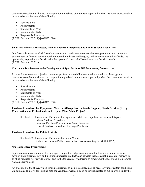contractor/consultant is allowed to compete for any related procurement opportunity when the contractor/consultant developed or drafted any of the following:

- Specifications
- Requirements
- Statements of Work
- Invitations for Bids
- Requests for Proposals

(2 CFR, Section 200.319[a]) (GOV 1090)

## **Small and Minority Businesses, Women Business Enterprises, and Labor Surplus Area Firms**

Our District is inclusive of ALL vendors that want to participate in our solicitations, promoting a procurement environment of free and open competition, rooted in fairness and integrity. All vendors are equally afforded the opportunity to provide the District with their potential "best value" solutions to the District's needs. (2 CFR, Section 200.321)

## **Contractor Involvement in the Development of Specifications, Bid Documents, Contracts, etc…**

In order for us to ensure objective contractor performance and eliminate unfair competitive advantage, no contractor/consultant is allowed to compete for any related procurement opportunity when the contractor/consultant developed or drafted any of the following:

- Specifications
- Requirements
- Statements of Work
- Invitations for Bids
- Requests for Proposals

(2 CFR, Section 200.319[a]) (GOV 1090)

# **Purchase Procedures for Equipment, Materials (Except Instructional), Supplies, Goods, Services (Except Construction and Professional), and Repairs (Non-Public Project)**

See Table 1 • Procurement Thresholds for Equipment, Materials, Supplies, Services, and Repairs Micro Purchase Procedures Informal Purchase Procedures for Small Purchases Formal Purchase Procedures for Large Purchases

#### **Purchase Procedures for Public Projects**

See Table 2 • Procurement Thresholds for Public Works California Uniform Public Construction Cost Accounting Act (CUPCCAA)

## **Non-competitive Procurement**

A procurement environment of free and open competition helps encourage contractors and manufacturers to develop and implement new and ingenious materials, products, and services that are equal in essential respects to existing products, yet provide a lower cost to the taxpayers. By adhering to procurement code, we help to promote such an environment.

An exception to the above, which limits procurement to a single source, may be necessary under certain conditions. California code allows for limiting both the vendor, as well as a good or service, related to public works under the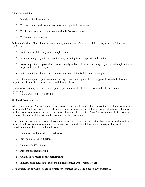following conditions:

- 1. In order to field test a product.
- 2. To match other products in use on a particular public improvement.
- 3. To obtain a necessary product only available from one source.
- 4. To respond to an emergency.

Federal code allows limitation to a single source, without any reference to public works, under the following conditions:

- 1. An item is available only from a single source.
- 2. A public emergency will not permit a delay resulting from competitive solicitation.
- 3. Non-competitive proposals have been expressly authorized by the Federal agency or pass-through entity in response to a written request.
- 4. After solicitation of a number of sources the competition is determined inadequate.

In cases of non-competitive procurement involving federal funds, get written pre-approval from the California Department of Education and save all related documentation.

Any situation that may involve non-competitive procurement should first be discussed with the Director of Purchasing.

(2 CFR, Section 200.320(f)) (PCC 3400)

## **Cost and Price Analysis**

When engaged in any "formal" procurement, as part of our due-diligence, it is required that a cost or price analysis be performed. Such analysis may vary depending upon the situation, but at the very least, independent estimates must be made prior to receiving bids or proposals. This provides us with a "base" to use when evaluating vendor responses, helping with the decision to accept or reject all responses.

In any situation involving non-competitive procurement, and in cases where cost analysis is performed, profit must be negotiated as a separate element of the contract price. In order to establish a fair and reasonable profit, consideration must be given to the following:

- 1. Complexity of the work to be performed.
- 2. Risk borne by the contractor.
- 3. Contractor's investment.
- 4. Amount of subcontracting.
- 5. Quality of its record of past performance.
- 6. Industry profit rates in the surrounding geographical area for similar work.

For a detailed list of what costs are allowable for contracts, see 2 CFR, Section 200, Subpart E.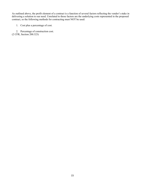As outlined above, the profit element of a contract is a function of several factors reflecting the vendor's stake in delivering a solution to our need. Unrelated to those factors are the underlying costs represented in the proposed contract, so the following methods for contracting must NOT be used:

- 1. Cost plus a percentage of cost.
- 2. Percentage of construction cost.
- (2 CFR, Section 200.323)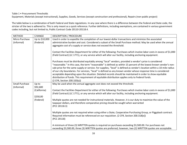# Table 1 • Procurement Thresholds

Equipment, Materials (except instructional), Supplies, Goods, Services (except construction and professional), Repairs (non-public project)

The table below is a combination of both Federal and State regulations. In any case where there is a difference between the Federal and State code, the stricter of the two is adhered to. This is only meant as a quick reference. Further definitions, including exemptions, are contained in various government codes including, but not limited to, Public Contract Code 20110-20118.4.

| Up to \$10,000<br>Used in order to expedite the completion of our lowest-dollar transactions and minimize the associated<br>Micro Purchase<br>administrative burden and cost. Considered a subset of the Small Purchase method. May be used when the annual<br>(Informal)<br>(Federal)<br>aggregate cost of a supply or service does not exceed the threshold.<br>Contact the Facilities Department for either of the following: Purchases which involve labor costs in excess of \$1,000<br>(Field Contract) (LC 1771), or any service which will alter our facility, including anchoring equipment.<br>Purchases must be distributed equitably among "local" vendors, provided a vendor's price is considered<br>"reasonable." In this case, the term "reasonable" is defined as within 15 percent of the lowest known vendor's non-<br>sale price for the same supply or service. For supplies, "local" is defined as vendor's location within a 10-mile radius |
|--------------------------------------------------------------------------------------------------------------------------------------------------------------------------------------------------------------------------------------------------------------------------------------------------------------------------------------------------------------------------------------------------------------------------------------------------------------------------------------------------------------------------------------------------------------------------------------------------------------------------------------------------------------------------------------------------------------------------------------------------------------------------------------------------------------------------------------------------------------------------------------------------------------------------------------------------------------------|
|                                                                                                                                                                                                                                                                                                                                                                                                                                                                                                                                                                                                                                                                                                                                                                                                                                                                                                                                                                    |
|                                                                                                                                                                                                                                                                                                                                                                                                                                                                                                                                                                                                                                                                                                                                                                                                                                                                                                                                                                    |
|                                                                                                                                                                                                                                                                                                                                                                                                                                                                                                                                                                                                                                                                                                                                                                                                                                                                                                                                                                    |
|                                                                                                                                                                                                                                                                                                                                                                                                                                                                                                                                                                                                                                                                                                                                                                                                                                                                                                                                                                    |
|                                                                                                                                                                                                                                                                                                                                                                                                                                                                                                                                                                                                                                                                                                                                                                                                                                                                                                                                                                    |
|                                                                                                                                                                                                                                                                                                                                                                                                                                                                                                                                                                                                                                                                                                                                                                                                                                                                                                                                                                    |
|                                                                                                                                                                                                                                                                                                                                                                                                                                                                                                                                                                                                                                                                                                                                                                                                                                                                                                                                                                    |
|                                                                                                                                                                                                                                                                                                                                                                                                                                                                                                                                                                                                                                                                                                                                                                                                                                                                                                                                                                    |
|                                                                                                                                                                                                                                                                                                                                                                                                                                                                                                                                                                                                                                                                                                                                                                                                                                                                                                                                                                    |
| of our city boundaries. For services, "local" is defined as any known vendor whose response time is considered                                                                                                                                                                                                                                                                                                                                                                                                                                                                                                                                                                                                                                                                                                                                                                                                                                                     |
| acceptable depending upon the situation. Detailed records should be maintained in order to show equitable                                                                                                                                                                                                                                                                                                                                                                                                                                                                                                                                                                                                                                                                                                                                                                                                                                                          |
| distribution of funds. This requirement of equitable distribution applies only to Federal funds.                                                                                                                                                                                                                                                                                                                                                                                                                                                                                                                                                                                                                                                                                                                                                                                                                                                                   |
| (2 CFR, Section 200.320(a))                                                                                                                                                                                                                                                                                                                                                                                                                                                                                                                                                                                                                                                                                                                                                                                                                                                                                                                                        |
| Small Purchase<br>May be used when the annual aggregate cost does not exceed the threshold.<br>Up to                                                                                                                                                                                                                                                                                                                                                                                                                                                                                                                                                                                                                                                                                                                                                                                                                                                               |
| (Informal)<br>\$92,600                                                                                                                                                                                                                                                                                                                                                                                                                                                                                                                                                                                                                                                                                                                                                                                                                                                                                                                                             |
| Contact the Facilities Department for either of the following: Purchases which involve labor costs in excess of \$1,000<br>(California)<br>(Field Contract) (LC 1771), or any service which will alter our facility, including anchoring equipment.                                                                                                                                                                                                                                                                                                                                                                                                                                                                                                                                                                                                                                                                                                                |
| \$250,00                                                                                                                                                                                                                                                                                                                                                                                                                                                                                                                                                                                                                                                                                                                                                                                                                                                                                                                                                           |
| Multiple quotes are not needed for instructional materials. However, it is our duty to maximize the value of the<br>(Federal)                                                                                                                                                                                                                                                                                                                                                                                                                                                                                                                                                                                                                                                                                                                                                                                                                                      |
| taxpayer dollars, and therefore comparative pricing should be sought when warranted                                                                                                                                                                                                                                                                                                                                                                                                                                                                                                                                                                                                                                                                                                                                                                                                                                                                                |
| (PCC 20118.3)                                                                                                                                                                                                                                                                                                                                                                                                                                                                                                                                                                                                                                                                                                                                                                                                                                                                                                                                                      |
|                                                                                                                                                                                                                                                                                                                                                                                                                                                                                                                                                                                                                                                                                                                                                                                                                                                                                                                                                                    |
| Multiple quotes are not required when using either a State, Cooperative Purchasing Group, or Piggyback contract.                                                                                                                                                                                                                                                                                                                                                                                                                                                                                                                                                                                                                                                                                                                                                                                                                                                   |
| Required information must be referenced on our requisition. (2 CFR, Section 200.318[e])                                                                                                                                                                                                                                                                                                                                                                                                                                                                                                                                                                                                                                                                                                                                                                                                                                                                            |
| (PCC 20118)                                                                                                                                                                                                                                                                                                                                                                                                                                                                                                                                                                                                                                                                                                                                                                                                                                                                                                                                                        |
| A minimum of three (3) WRITTEN quotes is required on purchases exceeding \$3,500.00. For purchases not                                                                                                                                                                                                                                                                                                                                                                                                                                                                                                                                                                                                                                                                                                                                                                                                                                                             |
| exceeding \$3,500.00, three (3) WRITTEN quotes are preferred, however, two (2) WRITTEN quotes are acceptable.                                                                                                                                                                                                                                                                                                                                                                                                                                                                                                                                                                                                                                                                                                                                                                                                                                                      |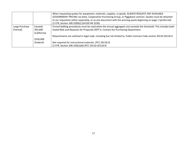|                |              | When requesting quotes for equipment, materials, supplies, or goods, ALWAYS REQUEST ANY AVAILABLE<br>GOVERNMENT PRICING via State, Cooperative Purchasing Group, or Piggyback contract. Quotes must be attached<br>to our requisition either separately, or as one document with the winning quote beginning on page 1 (preferred).<br>(2 CFR, Section 200.320(b)) (SVUSD AR 3230) |
|----------------|--------------|------------------------------------------------------------------------------------------------------------------------------------------------------------------------------------------------------------------------------------------------------------------------------------------------------------------------------------------------------------------------------------|
| Large Purchase | Exceeds      | Formal bidding procedures must be used when the annual aggregate cost exceeds the threshold. This includes both                                                                                                                                                                                                                                                                    |
| (Formal)       | \$92,600     | Sealed Bids and Requests for Proposals (RFP's). Contact the Purchasing Department.                                                                                                                                                                                                                                                                                                 |
|                | (California) |                                                                                                                                                                                                                                                                                                                                                                                    |
|                |              | Requirements are outlined in legal code, including but not limited to, Public Contract Code section 20110-20118.4.                                                                                                                                                                                                                                                                 |
|                | \$250,000    |                                                                                                                                                                                                                                                                                                                                                                                    |
|                | (Federal)    | Not required for instructional materials. (PCC 20118.3)                                                                                                                                                                                                                                                                                                                            |
|                |              | (2 CFR, Section 200.320(c)(d)) (PCC 20110-20118.4)                                                                                                                                                                                                                                                                                                                                 |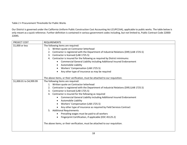# Table 2 • Procurement Thresholds for Public Works

Our District is governed under the California Uniform Public Construction Cost Accounting Act (CUPCCAA), applicable to public works. The table below is only meant as a quick reference. Further definition is contained in various government codes including, but not limited to, Public Contract Code 22000- 22045.

| PROJECT COST             | <b>REQUIREMENTS</b>                                                                           |
|--------------------------|-----------------------------------------------------------------------------------------------|
| \$1,000 or less          | The following items are required:                                                             |
|                          | 1. Written quote on Contractor letterhead                                                     |
|                          | Contractor is registered with the Department of Industrial Relations (DIR) (LAB 1725.5)       |
|                          | Contractor is licensed (LAB 1725.5)<br>3.                                                     |
|                          | Contractor is insured for the following as required by District minimums:<br>4.               |
|                          | Commercial General Liability including Additional Insured Endorsement                         |
|                          | Automobile Liability                                                                          |
|                          | Workers' Compensation (LAB 1725.5)                                                            |
|                          | Any other type of insurance as may be required                                                |
|                          |                                                                                               |
|                          | The above items, or their verification, must be attached to our requisition.                  |
| \$1,000.01 to \$4,999.99 | The following items are required:                                                             |
|                          | 1. Written quote on Contractor letterhead                                                     |
|                          | Contractor is registered with the Department of Industrial Relations (DIR) (LAB 1725.5)<br>2. |
|                          | Contractor is licensed (LAB 1725.5)<br>3.                                                     |
|                          | Contractor is insured for the following as required<br>4.                                     |
|                          | Commercial General Liability including Additional Insured Endorsement                         |
|                          | Automobile Liability                                                                          |
|                          | Workers' Compensation (LAB 1725.5)                                                            |
|                          | Any other type of insurance as required by Field Services Contract                            |
|                          | <b>Additional Requirements</b><br>5.                                                          |
|                          | Prevailing wages must be paid to all workers                                                  |
|                          | Fingerprint Certification, if applicable (EDC 45125.2)                                        |
|                          | The above items, or their verification, must be attached to our requisition.                  |
|                          |                                                                                               |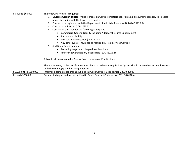| \$5,000 to \$60,000      | The following items are required:                                                                                      |  |  |
|--------------------------|------------------------------------------------------------------------------------------------------------------------|--|--|
|                          | Multiple written quotes (typically three) on Contractor letterhead. Remaining requirements apply to selected<br>1.     |  |  |
|                          | quote, beginning with the lowest cost quote.                                                                           |  |  |
|                          | Contractor is registered with the Department of Industrial Relations (DIR) (LAB 1725.5)                                |  |  |
|                          | Contractor is licensed (LAB 1725.5)<br>3.                                                                              |  |  |
|                          | Contractor is insured for the following as required<br>4.                                                              |  |  |
|                          | Commercial General Liability including Additional Insured Endorsement                                                  |  |  |
|                          | Automobile Liability                                                                                                   |  |  |
|                          | Workers' Compensation (LAB 1725.5)                                                                                     |  |  |
|                          | Any other type of insurance as required by Field Services Contract                                                     |  |  |
|                          | 5. Additional Requirements:                                                                                            |  |  |
|                          | Prevailing wages must be paid to all workers                                                                           |  |  |
|                          | Fingerprint Certification, if applicable (EDC 45125.2)                                                                 |  |  |
|                          |                                                                                                                        |  |  |
|                          | All contracts must go to the School Board for approval/ratification.                                                   |  |  |
|                          |                                                                                                                        |  |  |
|                          | The above items, or their verification, must be attached to our requisition. Quotes should be attached as one document |  |  |
|                          | with the winning quote beginning on page 1.                                                                            |  |  |
| \$60,000.01 to \$200,000 | Informal bidding procedures as outlined in Public Contract Code section 22030-22045                                    |  |  |
| Exceeds \$200,00         | Formal bidding procedures as outlined in Public Contract Code section 20110-20118.4.                                   |  |  |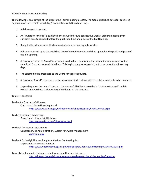## Table 3 • Steps in Formal Bidding

The following is an example of the steps in the Formal Bidding process. The actual published dates for each step depend upon the feasible scheduling/coordination with Board meetings.

- 1. Bid document is created.
- 2. An "Invitation for Bids" is published once a week for two consecutive weeks. Bidders must be given sufficient time to respond before the published time and place of the Bid Opening.
- 3. If applicable, all interested bidders must attend a job walk (public works).
- 4. Bids are collected up to the published time of the Bid Opening and then opened at the published place of the Bid Opening.
- 5. A "Notice of Intent to Award" is provided to all bidders confirming the selected lowest responsive bid submitted from all responsible bidders. This begins the protest period, not to be more than 5 working days.
- 6. The selected bid is presented to the Board for approval/award.
- 7. A "Notice of Award" is provided to the successful bidder, along with the related contracts to be executed.
- 8. Depending upon the type of contract, the successful bidder is provided a "Notice to Proceed" (public works), or a Purchase Order, to begin fulfillment of the contract.

## Table 4 • Websites

To check a Contractor's License: Contractor's State Licensing Board https://www2.cslb.ca.gov/OnlineServices/CheckLicenseII/CheckLicense.aspx

To check for State Debarment:

Department of Industrial Relations https://www.dir.ca.gov/dlse/debar.html

To check for Federal Debarment:

General Service Administration, System for Award Management www.sam.gov

To check for ineligibility resulting from the Iran Contracting Act:

Department of General Services https://www.documents.dgs.ca.gov/pd/poliproc/Iran%20Contracting%20Act%20List.pdf

To verify that a bond is being executed by an admitted surety insurer:

https://interactive.web.insurance.ca.gov/webuser/ncdw\_alpha\_co\_line\$.startup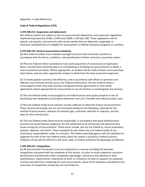Appendix I • Code References

#### **Code of Federal Regulations (CFR)**

#### **2 CFR 200.213 Suspension and debarment.**

Non-federal entities are subject to the non-procurement debarment and suspension regulations implementing Executive Orders 12549 and 12689, 2 CFR part 180. These regulations restrict awards, sub-awards, and contracts with certain parties that are debarred, suspended, or otherwise excluded from or ineligible for participation in Federal assistance programs or activities.

## **2 CFR 200.318 General procurement standards.**

(b) Non-Federal entities must maintain oversight to ensure that contractors perform in accordance with the terms, conditions, and specifications of their contracts or purchase orders.

(d) The non-Federal entity's procedures must avoid acquisition of unnecessary or duplicative items. Consideration should be given to consolidating or breaking out procurements to obtain a more economical purchase. Where appropriate, an analysis will be made of lease versus purchase alternatives, and any other appropriate analysis to determine the most economical approach.

(e) To foster greater economy and efficiency, and in accordance with efforts to promote costeffective use of shared services across the Federal Government, the non-Federal entity is encouraged to enter into state and local intergovernmental agreements or inter-entity agreements where appropriate for procurement or use of common or shared goods and services.

(f) The non-Federal entity is encouraged to use Federal excess and surplus property in lieu of purchasing new equipment and property whenever such use is feasible and reduces project costs.

(i) The non-Federal entity must maintain records sufficient to detail the history of procurement. These records will include, but are not necessarily limited to the following: rationale for the method of procurement, selection of contract type, contractor selection or rejection, and the basis for the contract price.

(k) The non-Federal entity alone must be responsible, in accordance with good administrative practice and sound business judgment, for the settlement of all contractual and administrative issues arising out of procurements. These issues include, but are not limited to, source evaluation, protests, disputes, and claims. These standards do not relieve the non-Federal entity of any contractual responsibilities under its contracts. The Federal awarding agency will not substitute its judgment for that of the non-Federal entity unless the matter is primarily a Federal concern. Violations of law will be referred to the local, state, or Federal authority having proper jurisdiction.

## **2 CFR 200.319 Competition.**

(a) All procurement transactions must be conducted in a manner providing full and open competition consistent with the standards of this section. In order to ensure objective contractor performance and eliminate unfair competitive advantage, contractors that develop or draft specifications, requirements, statements of work, or invitations for bids or requests for proposals must be excluded from competing for such procurements. Some of the situations considered to be restrictive of competition include but are not limited to: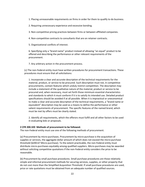1. Placing unreasonable requirements on firms in order for them to qualify to do business.

2. Requiring unnecessary experience and excessive bonding.

3. Non-competitive pricing practices between firms or between affiliated companies.

4. Non-competitive contracts to consultants that are on retainer contracts.

5. Organizational conflicts of interest.

6. Specifying only a "brand name" product instead of allowing "an equal" product to be offered and describing the performance or other relevant requirements of the procurement.

7. Any arbitrary action in the procurement process.

(c) The non-Federal entity must have written procedures for procurement transactions. These procedures must ensure that all solicitations:

1. Incorporate a clear and accurate description of the technical requirements for the material, product, or service to be procured. Such description must not, in competitive procurements, contain features which unduly restrict competition. The description may include a statement of the qualitative nature of the material, product or service to be procured and, when necessary, must set forth those minimum essential characteristics and standards to which it must conform if it is to satisfy its intended use. Detailed product specifications should be avoided if at all possible. When it is impractical or uneconomical to make a clear and accurate description of the technical requirements, a "brand name or equivalent" description may be used as a means to define the performance or other salient requirements of procurement. The specific features of the named brand, which must be met by offers must be clearly stated.

2. Identify all requirements, which the offerors must fulfill and all other factors to be used in evaluating bids or proposals.

#### **2 CFR 200.320 Methods of procurement to be followed.**

The non-Federal entity must use one of the following methods of procurement.

(a) Procurement by micro-purchases. Procurement by micro-purchase is the acquisition of supplies or services, the aggregate dollar amount of which does not exceed the micro-purchase threshold (§200.67 Micro-purchase). To the extent practicable, the non-Federal entity must distribute micro-purchases equitably among qualified suppliers. Micro-purchases may be awarded without soliciting competitive quotations if the non-Federal entity considers the price to be reasonable.

(b) Procurement by small purchase procedures. Small purchase procedures are those relatively simple and informal procurement methods for securing services, supplies, or other property that do not cost more than the Simplified Acquisition Threshold. If small purchase procedures are used, price or rate quotations must be obtained from an adequate number of qualified sources.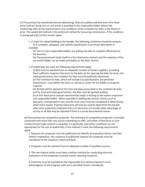(c) Procurement by sealed bids (formal advertising). Bids are publicly solicited and a firm fixed price contract (lump sum or unit price) is awarded to the responsible bidder whose bid, conforming with all the material terms and conditions of the invitation for bids, is the lowest in price. The sealed bid method is the preferred method for procuring construction, if the conditions in paragraph (c)(1) of this section apply.

1. In order for sealed bidding to be feasible, the following conditions should be present:

(i) A complete, adequate, and realistic specification or purchase description is available.

(ii) Two or more responsible bidders are willing and able to compete effectively for the business.

(iii) The procurement lends itself to a firm fixed price contract and the selection of the successful bidder can be made principally on the basis of price.

2. If sealed bids are used, the following requirements apply:

(i) Bids must be solicited from an adequate number of known suppliers, providing them sufficient response time prior to the date set for opening the bids, for local, and tribal governments, the invitation for bids must be publically advertised. (ii) The invitation for bids, which will include any specifications and pertinent attachments, must define the items or services in order for the bidder to properly respond.

(iii) All bids will be opened at the time and place prescribed in the invitation for bids, and for local and tribal governments, the bids must be opened publicly.

(iv) A firm fixed price contract award will be made in writing to the lowest responsive and responsible bidder. Where specified in bidding documents, factors such as discounts, transportation cost, and life cycle costs must be considered in determining which bid is lowest. Payment discounts will only be used to determine the low bid when prior experience indicates that such discounts are usually taken advantage of. (v) Any or all bids may be rejected if there is a sound documented reason.

(d) Procurement by competitive proposals. The technique of competitive proposals is normally conducted with more than one source submitting an offer, and either a fixed price or costreimbursement type contract is awarded. It is generally used when conditions are not appropriate for the use of sealed bids. If this method is used, the following requirements apply:

1. Requests for proposals must be publicized and identify all evaluation factors and their relative importance. Any response to publicized requests for proposals must be considered to the maximum extent practical.

2. Proposals must be solicited from an adequate number of qualified sources.

3. The non-Federal entity must have a written method for conducting technical evaluations of the proposals received and for selecting recipients.

4. Contracts must be awarded to the responsible firm whose proposal is most advantageous to the program, with price and other factors considered.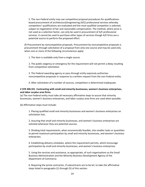5. The non-Federal entity may use competitive proposal procedures for qualificationsbased procurement of architectural/engineering (A/E) professional services whereby competitors' qualifications are evaluated and the most qualified competitor is selected, subject to negotiation of fair and reasonable compensation. The method, where price is not used as a selection factor, can only be used in procurement of A/E professional services. It cannot be used to purchase other types of services though A/E firms are a potential source to perform the proposed effort.

(f) Procurement by noncompetitive proposals. Procurement by noncompetitive proposals is procurement through solicitation of a proposal from only one source and may be used only when one or more of the following circumstances apply:

1. The item is available only from a single source.

2. The public exigency or emergency for the requirement will not permit a delay resulting from competitive solicitation.

3. The Federal awarding agency or pass-through entity expressly authorizes noncompetitive proposals in response to a written request from the non-Federal entity.

4. After solicitation of a number of sources, competition is determined inadequate.

## **2 CFR 200.321 Contracting with small and minority businesses, women's business enterprises, and labor surplus area firms.**

(a) The non-Federal entity must take all necessary affirmative steps to assure that minority businesses, women's business enterprises, and labor surplus area firms are used when possible.

(b) Affirmative steps must include:

1. Placing qualified small and minority businesses and women's business enterprises on solicitation lists.

2. Assuring that small and minority businesses, and women's business enterprises are solicited whenever they are potential sources.

3. Dividing total requirements, when economically feasible, into smaller tasks or quantities to permit maximum participation by small and minority businesses, and women's business enterprises.

4. Establishing delivery schedules, where the requirement permits, which encourage participation by small and minority businesses, and women's business enterprises.

5. Using the services and assistance, as appropriate, of such organizations as the Small Business Administration and the Minority Business Development Agency of the Department of Commerce.

6. Requiring the prime contractor, if subcontracts are to be let, to take the affirmative steps listed in paragraphs (1) through (5) of this section.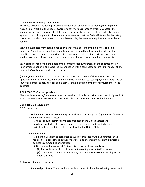#### **2 CFR 200.325 Bonding requirements.**

For construction or facility improvement contracts or subcontracts exceeding the Simplified Acquisition Threshold, the Federal awarding agency or pass-through entity may accept the bonding policy and requirements of the non-Federal entity provided that the Federal awarding agency or pass-through entity has made a determination that the Federal interest is adequately protected. If such a determination has not been made, the minimum requirements must be as follows:

(a) A bid guarantee from each bidder equivalent to five percent of the bid price. The "bid guarantee" must consist of a firm commitment such as a bid bond, certified check, or other negotiable instrument accompanying a bid as assurance that the bidder will, upon acceptance of the bid, execute such contractual documents as may be required within the time specified.

(b) A performance bond on the part of the contractor for 100 percent of the contract price. A "performance bond" is one executed in connection with a contract to secure fulfillment of all the contractor's obligations under such contract.

(c) A payment bond on the part of the contractor for 100 percent of the contract price. A "payment bond" is one executed in connection with a contract to assure payment as required by law of all persons supplying labor and material in the execution of the work provided for in the contract.

#### **2 CFR 200.326 Contract provisions.**

The non-Federal entity's contracts must contain the applicable provisions described in Appendix II to Part 200—Contract Provisions for non-Federal Entity Contracts Under Federal Awards.

#### **7 CFR 210.21 Procurement**

(d) Buy American

1. Definition of domestic commodity or product. In this paragraph (d), the term 'domestic commodity or product' means

(i) An agricultural commodity that is produced in the United States; and (ii) A food product that is processed in the United States substantially using agricultural commodities that are produced in the United States.

## 2. Requirement.

(i) In general. Subject to paragraph (d)(2)(ii) of this section, the Department shall require that a school food authority purchase, to the maximum extent practicable, domestic commodities or products.

(ii) Limitations. Paragraph (d)(2)(i) of this section shall apply only to

(A) A school food authority located in the contiguous United States; and (B) A purchase of domestic commodity or product for the school lunch program

under this part.

## (f) Cost reimbursable contracts

1. Required provisions. The school food authority must include the following provisions in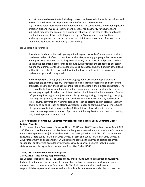all cost reimbursable contracts, including contracts with cost reimbursable provisions, and in solicitation documents prepared to obtain offers for such contracts: (iv) The contractor must identify the amount of each discount, rebate and other applicable credit on bills and invoices presented to the school food authority for payment and individually identify the amount as a discount, rebate, or in the case of other applicable credits, the nature of the credit. If approved by the State agency, the school food authority may permit the contractor to report this information on a less frequent basis than monthly, but no less frequently than annually.

#### (g) Geographic preference.

1. A school food authority participating in the Program, as well as State agencies making purchases on behalf of such school food authorities, may apply a geographic preference when procuring unprocessed locally grown or locally raised agricultural products. When utilizing the geographic preference to procure such products, the school food authority making the purchase or the State agency making purchases on behalf of such school food authorities have the discretion to determine the local area to which the geographic preference option will be applied;

2. For the purpose of applying the optional geographic procurement preference in paragraph (g)(1) of this section, "unprocessed locally grown or locally raised agricultural products," means only those agricultural products that retain their inherent character. The effects of the following food handling and preservation techniques shall not be considered as changing an agricultural product into a product of a different kind or character: Cooling; refrigerating; freezing; size adjustment made by peeling, slicing, dicing, cutting, chopping, shucking, and grinding; forming ground products into patties without any additives or fillers; drying/dehydration; washing; packaging (such as placing eggs in cartons), vacuum packing and bagging (such as placing vegetables in bags or combining two or more types of vegetables or fruits in a single package); the addition of ascorbic acid or other preservatives to prevent oxidation of produce; butchering livestock and poultry; cleaning fish; and the pasteurization of milk.

# **2 CFR Appendix II to Part 200 Contract Provisions for Non-Federal Entity Contracts Under Federal Awards**

(H) Debarment and Suspension (Executive Orders 12549 and 12689). A contract award (see 2 CFR 180.220) must not be made to parties listed on the government-wide exclusions in the System for Award Management (SAM), in accordance with the OMB guidelines at 2 CFR 180 that implement Executive Orders 12549 (3 CFR part 1986 Comp., p. 189) and 12689 (3 CFR part 1989 Comp., p. 235), "Debarment and Suspension." SAM Exclusions contains the names of parties debarred, suspended, or otherwise excluded by agencies, as well as parties declared ineligible under statutory or regulatory authority other than Executive Order 12549.

## **7 CFR, 225 Summer Food Service Program**

## **7 CFR, 225.6 State agency responsibilities.**

(a) General responsibilities. 1. The State agency shall provide sufficient qualified consultative, technical, and managerial personnel to administer the Program, monitor performance, and measure progress in achieving Program goals. The State agency shall assign Program responsibilities to personnel to ensure that all applicable requirements under this part are met.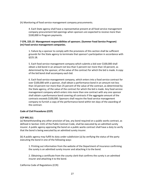(h) Monitoring of food service management company procurements.

4. Each State agency shall have a representative present at all food service management company procurement bid openings when sponsors are expected to receive more than \$100,000 in Program payments.

# **7 CFR, 225.15 Management responsibilities of sponsors. (Summer Food Service Program) (m) Food service management companies.**

1. Failure by a sponsor to comply with the provisions of this section shall be sufficient grounds for the State agency to terminate that sponsor's participation in accordance with §225.18.

5. Each food service management company which submits a bid over \$100,000 shall obtain a bid bond in an amount not less than 5 percent nor more than 10 percent, as determined by the sponsor, of the value of the contract for which the bid is made. A copy of the bid bond shall accompany each bid.

6. Each food service management company, which enters into a food service contract for over \$100,000 with a sponsor, shall obtain a performance bond in an amount not less than 10 percent nor more than 25 percent of the value of the contract, as determined by the State agency, of the value of the contract for which the bid is made. Any food service management company which enters into more than one contract with any one sponsor shall obtain a performance bond covering all contracts if the aggregate amount of the contracts exceeds \$100,000. Sponsors shall require the food service management company to furnish a copy of the performance bond within ten days of the awarding of the contract.

## **Code of Civil Procedures (CCP)**

## **CCP 995.311**

(a) Notwithstanding any other provision of law, any bond required on a public works contract, as defined in Section 1101 of the Public Contract Code, shall be executed by an admitted surety insurer. A public agency approving the bond on a public works contract shall have a duty to verify that the bond is being executed by an admitted surety insurer.

(b) A public agency may fulfill its duty under subdivision (a) by verifying the status of the party executing the bond in one of the following ways:

1. Printing out information from the website of the Department of Insurance confirming the surety is an admitted surety insurer and attaching it to the bond.

2. Obtaining a certificate from the county clerk that confirms the surety is an admitted insurer and attaching it to the bond.

California Code of Regulations (CCR)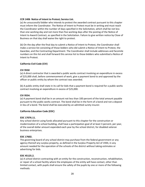## **CCR 1406 Notice of Intent to Protest; Service List.**

(a) An unsuccessful bidder who intends to protest the awarded contract pursuant to this chapter must inform the Coordinator. The Notice of Intent to Protest must be in writing and must reach the Coordinator within the number of days specified in the Solicitation, which shall be not less than one working day and not more than five working days after the posting of the Notice of Intent to Award Contract, as specified in the Solicitation. Failure to give written notice by Close of Business on that day shall waive the right to protest.

(b) On the day after the final day to submit a Notice of Intent to Protest, the Coordinator shall make a service list consisting of those bidders who did submit a Notice of Intent to Protest, the Awardee, and the Contracting Department. The Coordinator shall include addresses and facsimile numbers on this list and shall forward this service list to those bidders who submitted a Notice of Intent to Protest.

#### **California Civil Code (CIV)**

#### **CIV 9550**

(a) A direct contractor that is awarded a public works contract involving an expenditure in excess of \$25,000 shall, before commencement of work, give a payment bond to and approved by the officer or public entity by whom the contract was awarded.

(b) A public entity shall state in its call for bids that a payment bond is required for a public works contract involving an expenditure in excess of \$25,000.

#### **CIV 9554.**

(a) A payment bond shall be in an amount not less than 100 percent of the total amount payable pursuant to the public works contract. The bond shall be in the form of a bond and not a deposit in lieu of a bond. The bond shall be executed by an admitted surety insurer.

#### **California Education Code (EDC)**

#### **EDC 17076.11.**

Any school district using funds allocated pursuant to this chapter for the construction or modernization of a school building, shall have a participation goal of at least 3 percent, per year, of the overall dollar amount expended each year by the school district, for disabled veteran business enterprises.

#### **EDC 17602.**

The governing board of any school district may purchase from the federal government or any agency thereof any surplus property, as defined in the Surplus Property Act of 1944, in any amount needed for the operation of the schools of the district without taking estimates or advertising for bids.

## **EDC 45125.2.**

(a) A school district contracting with an entity for the construction, reconstruction, rehabilitation, or repair of a school facility where the employees of the entity will have contact, other than limited contact, with pupils shall ensure the safety of the pupils by one or more of the following methods: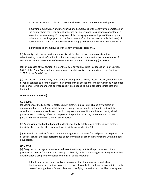1. The installation of a physical barrier at the worksite to limit contact with pupils.

2. Continual supervision and monitoring of all employees of the entity by an employee of the entity whom the Department of Justice has ascertained has not been convicted of a violent or serious felony. For purposes of this paragraph, an employee of the entity may submit his or her fingerprints to the Department of Justice pursuant to subdivision (a) of Section 45125.1 and the department shall comply with subdivision (d) of Section 45125.1.

3. Surveillance of employees of the entity by school personnel.

(b) An entity that contracts with a school district for the construction, reconstruction, rehabilitation, or repair of a school facility is not required to comply with the requirements of Section 45125.1 if one or more of the methods described in subdivision (a) is utilized.

(c) For purposes of this section, a violent felony is any felony listed in subdivision (c) of Section 667.5 of the Penal Code and a serious felony is any felony listed in subdivision (c) of Section 1192.7 of the Penal Code.

(d) This section shall not apply to an entity providing construction, reconstruction, rehabilitation, or repair services to a school district in an emergency or exceptional situation, such as when pupil health or safety is endangered or when repairs are needed to make school facilities safe and habitable.

# **Government Code (GOV)**

## **GOV 1090.**

(a) Members of the Legislature, state, county, district, judicial district, and city officers or employees shall not be financially interested in any contract made by them in their official capacity, or by any body or board of which they are members. Nor shall state, county, district, judicial district, and city officers or employees be purchasers at any sale or vendors at any purchase made by them in their official capacity.

(b) An individual shall not aid or abet a Member of the Legislature or a state, county, district, judicial district, or city officer or employee in violating subdivision (a).

(c) As used in this article, "district" means any agency of the state formed pursuant to general law or special act, for the local performance of governmental or proprietary functions within limited boundaries.

## **GOV 8355.**

(a) Every person or organization awarded a contract or a grant for the procurement of any property or services from any state agency shall certify to the contracting or granting agency that it will provide a drug-free workplace by doing all of the following:

1. Publishing a statement notifying employees that the unlawful manufacture, distribution, dispensation, possession, or use of a controlled substance is prohibited in the person's or organization's workplace and specifying the actions that will be taken against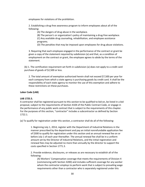employees for violations of the prohibition.

2. Establishing a drug-free awareness program to inform employees about all of the following:

(A) The dangers of drug abuse in the workplace.

(B) The person's or organization's policy of maintaining a drug-free workplace. (C) Any available drug counseling, rehabilitation, and employee assistance programs.

(D) The penalties that may be imposed upon employees for drug abuse violations.

3. Requiring that each employee engaged in the performance of the contract or grant be given a copy of the statement required by subdivision (a) and that, as a condition of employment on the contract or grant, the employee agrees to abide by the terms of the statement.

(b) 1. The certification requirement set forth in subdivision (a) does not apply to a credit card purchase of goods of \$2,500 or less.

2. The total amount of exemption authorized herein shall not exceed \$7,500 per year for each company from which a state agency is purchasing goods by credit card. It shall be the responsibility of each state agency to monitor the use of this exemption and adhere to these restrictions on these purchases.

#### **Labor Code (LAB)**

#### **LAB 1725.5.**

A contractor shall be registered pursuant to this section to be qualified to bid on, be listed in a bid proposal, subject to the requirements of Section 4104 of the Public Contract Code, or engage in the performance of any public work contract that is subject to the requirements of this chapter. For the purposes of this section, "contractor" includes a subcontractor as defined by Section 1722.1.

(a) To qualify for registration under this section, a contractor shall do all of the following:

1. Beginning July 1, 2014, register with the Department of Industrial Relations in the manner prescribed by the department and pay an initial nonrefundable application fee of \$300 to qualify for registration under this section and an annual renewal fee on or before July 1 of each year thereafter. The annual renewal fee shall be in a uniform amount set by the Director of Industrial Relations, and the initial registration and renewal fees may be adjusted no more than annually by the director to support the costs specified in Section 1771.3.

2. Provide evidence, disclosures, or releases as are necessary to establish all of the following:

(A) Workers' Compensation coverage that meets the requirements of Division 4 (commencing with Section 3200) and includes sufficient coverage for any worker whom the contractor employs to perform work that is subject to prevailing wage requirements other than a contractor who is separately registered under this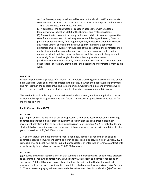section. Coverage may be evidenced by a current and valid certificate of workers' compensation Insurance or certification of self-insurance required under Section 7125 of the Business and Professions Code.

(B) If applicable, the contractor is licensed in accordance with Chapter 9 (commencing with Section 7000) of the Business and Professions Code. (C) The contractor does not have any delinquent liability to an employee or the state for any assessment of back wages or related damages, interest, fines, or penalties pursuant to any final judgment, order, or determination by a court or any federal, state, or local administrative agency, including a confirmed arbitration award. However, for purposes of this paragraph, the contractor shall not be disqualified for any judgment, order, or determination that is under appeal, provided that the contractor has secured the payment of any amount eventually found due through a bond or other appropriate means. (D) The contractor is not currently debarred under Section 1777.1 or under any other federal or state law providing for the debarment of contractors from public works.

#### **LAB 1771.**

Except for public works projects of \$1,000 or less, not less than the general prevailing rate of per diem wages for work of a similar character in the locality in which the public work is performed, and not less than the general prevailing rate of per diem wages for holiday and overtime work fixed as provided in this chapter, shall be paid to all workers employed on public works.

This section is applicable only to work performed under contract, and is not applicable to work carried out by a public agency with its own forces. This section is applicable to contracts let for maintenance work.

#### **Public Contract Code (PCC)**

#### **PCC 2203.**

(a) 1. A person that, at the time of bid or proposal for a new contract or renewal of an existing contract, is identified on a list created pursuant to subdivision (b) as a person engaging in investment activities in Iran as described in subdivision (a) of Section 2202.5, is ineligible to, and shall not, bid on, submit a proposal for, or enter into or renew, a contract with a public entity for goods or services of \$1,000,000 or more.

2. A person that, at the time of bid or proposal for a new contract or renewal of an existing contract, engages in investment activities in Iran as described in subdivision (b) of Section 2202.5, is ineligible to, and shall not, bid on, submit a proposal for, or enter into or renew, a contract with a public entity for goods or services of \$1,000,000 or more.

#### **PCC 2204.**

(a) A public entity shall require a person that submits a bid or proposal to, or otherwise proposes to enter into or renew a contract with, a public entity with respect to a contract for goods or services of \$1,000,000 or more to certify, at the time the bid is submitted or the contract is renewed, that the person is not identified on a list created pursuant to subdivision (b) of Section 2203 as a person engaging in investment activities in Iran described in subdivision (a) of Section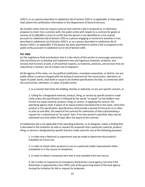2202.5, or as a person described in subdivision (b) of Section 2202.5, as applicable. A state agency shall submit the certification information to the Department of General Services.

(b) A public entity shall not require a person that submits a bid or proposal to, or otherwise proposes to enter into a contract with, the public entity with respect to a contract for goods or services of \$1,000,000 or more to certify that the person is not identified on a list created pursuant to subdivision (b) of Section 2203 as a person engaging in investment activities in Iran described in subdivision (a) of Section 2202.5, or as a person described in subdivision (b) of Section 2202.5, as applicable, if the person has been permitted to submit a bid or proposal to the public entity pursuant to subdivision (c) or (d) of Section 2203.

## **PCC 3400.**

(a) The Legislature finds and declares that it is the intent of this section to encourage contractors and manufacturers to develop and implement new and ingenious materials, products, and services that function as well, in all essential respects, as materials, products, and services that are required by a contract, but at a lower cost to taxpayers.

(b) No agency of the state, nor any political subdivision, municipal corporation, or district, nor any public officer or person charged with the letting of contracts for the construction, alteration, or repair of public works, shall draft or cause to be drafted specifications for bids, in connection with the construction, alteration, or repair of public works:

1. In a manner that limits the bidding, directly or indirectly, to any one specific concern, or

2. Calling for a designated material, product, thing, or service by specific brand or trade name unless the specification is followed by the words "or equal" so that bidders may furnish any equal material, product, thing, or service. In applying this section, the specifying agency shall, if aware of an equal product manufactured in this state, name that product in the specification. Specifications shall provide a period of time prior to or after, or prior to and after, the award of the contract for submission of data substantiating a request for a substitution of "an equal" item. If no time period is specified, data may be submitted any time within 35 days after the award of the contract.

(c) Subdivision (b) is not applicable if the awarding authority, or its designee, makes a finding that is described in the invitation for bids or request for proposals that a particular material, product, thing, or service is designated by specific brand or trade name for any of the following purposes:

1. In order that a field-test or experiment may be made to determine the product's suitability for future use.

2. In order to match other products in use on a particular public improvement either completed or in the course of completion.

3. In order to obtain a necessary item that is only available from one source.

4. (A) In order to respond to an emergency declared by a local agency, but only if the declaration is approved by a four-fifths vote of the governing board of the local agency issuing the invitation for bid or request for proposals.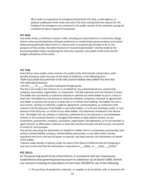(B) In order to respond to an emergency declared by the state, a state agency, or political subdivision of the state, but only if the facts setting forth the reasons for the finding of the emergency are contained in the public records of the authority issuing the invitation for bid or request for proposals.

## **PCC 3410.**

Any public entity, as defined in Section 1100, including any school district or community college district, when purchasing food, shall give preference to United States-grown produce and United States-processed foods when there is a choice and it is economically feasible to do so. For purposes of this section, the determination of "economically feasible" shall be made by the purchasing public entity, considering the total cost, quantity, and quality of the food and the budget and policies of the entity.

#### **PCC 7106.**

Every bid on every public works contract of a public entity shall include a declaration under penalty of perjury under the laws of the State of California, in the following form: "NON-COLLUSION DECLARATION TO BE EXECUTED BY BIDDER AND SUBMITTED WITH BID The undersigned declares:

I am the same of the party making the foregoing bid.

The bid is not made in the interest of, or on behalf of, any undisclosed person, partnership, company, association, organization, or corporation. The bid is genuine and not collusive or sham. The bidder has not directly or indirectly induced or solicited any other bidder to put in a false or sham bid. The bidder has not directly or indirectly colluded, conspired, connived, or agreed with any bidder or anyone else to put in a sham bid, or to refrain from bidding. The bidder has not in any manner, directly or indirectly, sought by agreement, communication, or conference with anyone to fix the bid price of the bidder or any other bidder, or to fix any overhead, profit, or cost element of the bid price, or of that of any other bidder. All statements contained in the bid are true. The bidder has not, directly or indirectly, submitted his or her bid price or any breakdown thereof, or the contents thereof, or divulged information or data relative thereto, to any corporation, partnership, company, association, organization, bid depository, or to any member or agent thereof, to effectuate a collusive or sham bid, and has not paid, and will not pay, any person or entity for such purpose.

Any person executing this declaration on behalf of a bidder that is a corporation, partnership, joint venture, limited liability company, limited liability partnership, or any other entity, hereby represents that he or she has full power to execute, and does execute, this declaration on behalf of the bidder.

I declare under penalty of perjury under the laws of the State of California that the foregoing is true and correct and that this declaration is executed on [date], at [city], [state]."

## **PCC 20111.**

(a) The governing board of any school district, in accordance with any requirement established by that governing board pursuant to subdivision (a) of Section 2000, shall let any contracts involving an expenditure of more than \$50,000 for any of the following:

1. The purchase of equipment, materials, or supplies to be furnished, sold, or leased to the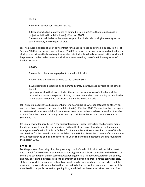## district.

2. Services, except construction services.

3. Repairs, including maintenance as defined in Section 20115, that are not a public project as defined in subdivision (c) of Section 22002. The contract shall be let to the lowest responsible bidder who shall give security as the board requires, or else reject all bids.

(b) The governing board shall let any contract for a public project, as defined in subdivision (c) of Section 22002, involving an expenditure of \$15,000 or more, to the lowest responsible bidder who shall give security as the board requires, or else reject all bids. All bids for construction work shall be presented under sealed cover and shall be accompanied by one of the following forms of bidder's security:

1. Cash.

2. A cashier's check made payable to the school district.

3. A certified check made payable to the school district.

4. A bidder's bond executed by an admitted surety insurer, made payable to the school district.

Upon an award to the lowest bidder, the security of an unsuccessful bidder shall be returned in a reasonable period of time, but in no event shall that security be held by the school district beyond 60 days from the time the award is made.

(c) This section applies to all equipment, materials, or supplies, whether patented or otherwise, and to contracts awarded pursuant to subdivision (a) of Section 2000. This section shall not apply to professional services or advice, insurance services, or any other purchase or service otherwise exempt from this section, or to any work done by day labor or by force account pursuant to Section 20114.

(d) Commencing January 1, 1997, the Superintendent of Public Instruction shall annually adjust the dollar amounts specified in subdivision (a) to reflect the percentage change in the annual average value of the Implicit Price Deflator for State and Local Government Purchases of Goods and Services for the United States, as published by the United States Department of Commerce for the 12-month period ending in the prior fiscal year. The annual adjustments shall be rounded to the nearest \$100.

# **PCC 20112.**

For the purpose of securing bids, the governing board of a school district shall publish at least once a week for two weeks in some newspaper of general circulation published in the district, or if there is no such paper, then in some newspaper of general circulation, circulated in the county, and may post on the district's Web site or through an electronic portal, a notice calling for bids, stating the work to be done or materials or supplies to be furnished and the time when and the place and the Web site where bids will be opened. Whether or not bids are opened exactly at the time fixed in the public notice for opening bids, a bid shall not be received after that time. The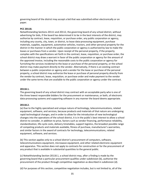governing board of the district may accept a bid that was submitted either electronically or on paper.

#### **PCC 20118.**

Notwithstanding Sections 20111 and 20112, the governing board of any school district, without advertising for bids, if the board has determined it to be in the best interests of the district, may authorize by contract, lease, requisition, or purchase order, any public corporation or agency, including any county, city, town, or district, to lease data-processing equipment, purchase materials, supplies, equipment, automotive vehicles, tractors, and other personal property for the district in the manner in which the public corporation or agency is authorized by law to make the leases or purchases from a vendor. Upon receipt of the personal property, if the property complies with the specifications set forth in the contract, lease, requisition, or purchase order, the school district may draw a warrant in favor of the public corporation or agency for the amount of the approved invoice, including the reasonable costs to the public corporation or agency for furnishing the services incidental to the lease or purchase of the personal property, or the school district may make payment directly to the vendor. Alternatively, if there is an existing contract between a public corporation or agency and a vendor for the lease or purchase of the personal property, a school district may authorize the lease or purchase of personal property directly from the vendor by contract, lease, requisition, or purchase order and make payment to the vendor under the same terms that are available to the public corporation or agency under the contract.

#### **20118.1.**

The governing board of any school district may contract with an acceptable party who is one of the three lowest responsible bidders for the procurement or maintenance, or both, of electronic data-processing systems and supporting software in any manner the board deems appropriate.

#### **20118.2.**

(a) Due to the highly specialized and unique nature of technology, telecommunications, related equipment, software, and services, because products and materials of that nature are undergoing rapid technological changes, and in order to allow for the introduction of new technological changes into the operations of the school district, it is in the public's best interest to allow a school district to consider, in addition to price, factors such as vendor financing, performance reliability, standardization, life-cycle costs, delivery timetables, support logistics, the broadest possible range of competing products and materials available, fitness of purchase, manufacturer's warranties, and similar factors in the award of contracts for technology, telecommunications, related equipment, software, and services.

(b) This section applies only to a school district's procurement of computers, software, telecommunications equipment, microwave equipment, and other related electronic equipment and apparatus. This section does not apply to contracts for construction or for the procurement of any product that is available in substantial quantities to the general public.

(c) Notwithstanding Section 20118.1, a school district may, after a finding is made by the governing board that a particular procurement qualifies under subdivision (b), authorize the procurement of the product through competitive negotiation as described in subdivision (d).

(d) For purposes of this section, competitive negotiation includes, but is not limited to, all of the